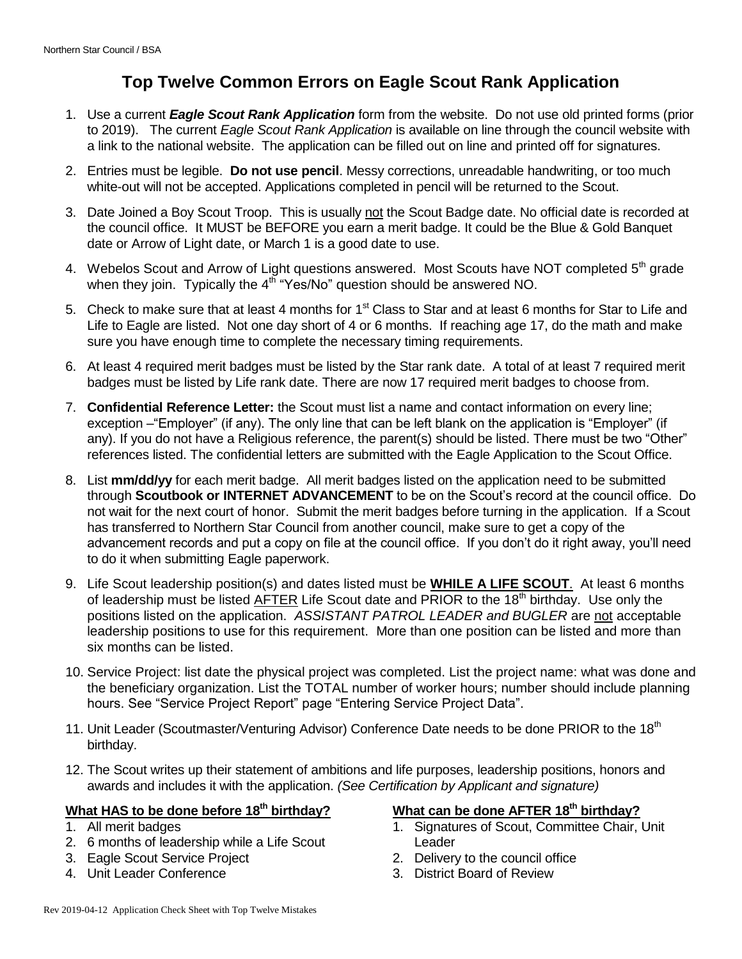## **Top Twelve Common Errors on Eagle Scout Rank Application**

- 1. Use a current *Eagle Scout Rank Application* form from the website. Do not use old printed forms (prior to 2019). The current *Eagle Scout Rank Application* is available on line through the council website with a link to the national website. The application can be filled out on line and printed off for signatures.
- 2. Entries must be legible. **Do not use pencil**. Messy corrections, unreadable handwriting, or too much white-out will not be accepted. Applications completed in pencil will be returned to the Scout.
- 3. Date Joined a Boy Scout Troop. This is usually not the Scout Badge date. No official date is recorded at the council office. It MUST be BEFORE you earn a merit badge. It could be the Blue & Gold Banquet date or Arrow of Light date, or March 1 is a good date to use.
- 4. Webelos Scout and Arrow of Light questions answered. Most Scouts have NOT completed 5<sup>th</sup> grade when they join. Typically the  $4^{t\bar{h}}$  "Yes/No" question should be answered NO.
- 5. Check to make sure that at least 4 months for 1<sup>st</sup> Class to Star and at least 6 months for Star to Life and Life to Eagle are listed. Not one day short of 4 or 6 months. If reaching age 17, do the math and make sure you have enough time to complete the necessary timing requirements.
- 6. At least 4 required merit badges must be listed by the Star rank date. A total of at least 7 required merit badges must be listed by Life rank date. There are now 17 required merit badges to choose from.
- 7. **Confidential Reference Letter:** the Scout must list a name and contact information on every line; exception –"Employer" (if any). The only line that can be left blank on the application is "Employer" (if any). If you do not have a Religious reference, the parent(s) should be listed. There must be two "Other" references listed. The confidential letters are submitted with the Eagle Application to the Scout Office.
- 8. List **mm/dd/yy** for each merit badge. All merit badges listed on the application need to be submitted through **Scoutbook or INTERNET ADVANCEMENT** to be on the Scout's record at the council office. Do not wait for the next court of honor. Submit the merit badges before turning in the application. If a Scout has transferred to Northern Star Council from another council, make sure to get a copy of the advancement records and put a copy on file at the council office. If you don't do it right away, you'll need to do it when submitting Eagle paperwork.
- 9. Life Scout leadership position(s) and dates listed must be **WHILE A LIFE SCOUT**. At least 6 months of leadership must be listed AFTER Life Scout date and PRIOR to the 18<sup>th</sup> birthday. Use only the positions listed on the application. *ASSISTANT PATROL LEADER and BUGLER* are not acceptable leadership positions to use for this requirement. More than one position can be listed and more than six months can be listed.
- 10. Service Project: list date the physical project was completed. List the project name: what was done and the beneficiary organization. List the TOTAL number of worker hours; number should include planning hours. See "Service Project Report" page "Entering Service Project Data".
- 11. Unit Leader (Scoutmaster/Venturing Advisor) Conference Date needs to be done PRIOR to the 18<sup>th</sup> birthday.
- 12. The Scout writes up their statement of ambitions and life purposes, leadership positions, honors and awards and includes it with the application. *(See Certification by Applicant and signature)*

#### **What HAS to be done before 18th birthday?**

- 1. All merit badges
- 2. 6 months of leadership while a Life Scout
- 3. Eagle Scout Service Project
- 4. Unit Leader Conference

#### **What can be done AFTER 18th birthday?**

- 1. Signatures of Scout, Committee Chair, Unit Leader
- 2. Delivery to the council office
- 3. District Board of Review